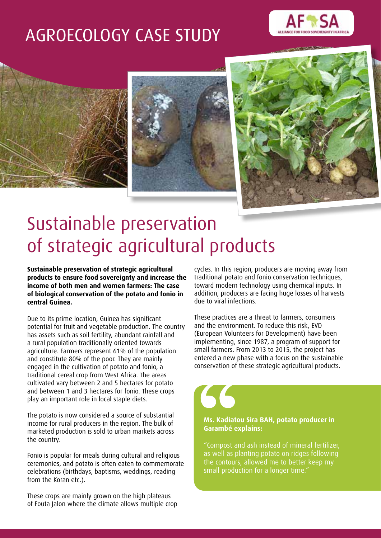# AGROECOLOGY CASE STUDY









# Sustainable preservation of strategic agricultural products

**Sustainable preservation of strategic agricultural products to ensure food sovereignty and increase the income of both men and women farmers: The case of biological conservation of the potato and fonio in central Guinea.**

Due to its prime location, Guinea has significant potential for fruit and vegetable production. The country has assets such as soil fertility, abundant rainfall and a rural population traditionally oriented towards agriculture. Farmers represent 61% of the population and constitute 80% of the poor. They are mainly engaged in the cultivation of potato and fonio, a traditional cereal crop from West Africa. The areas cultivated vary between 2 and 5 hectares for potato and between 1 and 3 hectares for fonio. These crops play an important role in local staple diets.

The potato is now considered a source of substantial income for rural producers in the region. The bulk of marketed production is sold to urban markets across the country.

Fonio is popular for meals during cultural and religious ceremonies, and potato is often eaten to commemorate celebrations (birthdays, baptisms, weddings, reading from the Koran etc.).

These crops are mainly grown on the high plateaus of Fouta Jalon where the climate allows multiple crop

cycles. In this region, producers are moving away from traditional potato and fonio conservation techniques, toward modern technology using chemical inputs. In addition, producers are facing huge losses of harvests due to viral infections.

These practices are a threat to farmers, consumers and the environment. To reduce this risk, EVD (European Volunteers for Development) have been implementing, since 1987, a program of support for small farmers. From 2013 to 2015, the project has entered a new phase with a focus on the sustainable conservation of these strategic agricultural products.

#### **Ms. Kadiatou Sira BAH, potato producer in Garambé explains:**

"Compost and ash instead of mineral fertilizer, as well as planting potato on ridges following the contours, allowed me to better keep my small production for a longer time."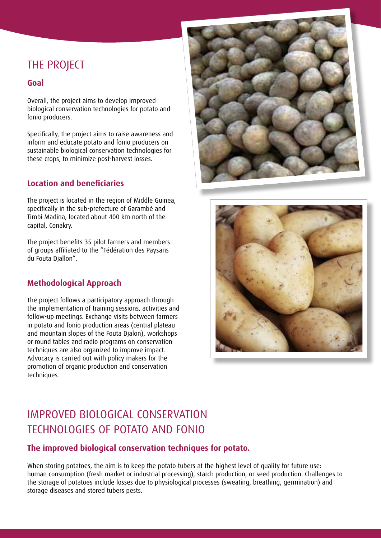## THE PROJECT

### **Goal**

Overall, the project aims to develop improved biological conservation technologies for potato and fonio producers.

Specifically, the project aims to raise awareness and inform and educate potato and fonio producers on sustainable biological conservation technologies for these crops, to minimize post-harvest losses.

## **Location and beneficiaries**

The project is located in the region of Middle Guinea, specifically in the sub-prefecture of Garambé and Timbi Madina, located about 400 km north of the capital, Conakry.

The project benefits 35 pilot farmers and members of groups affiliated to the "Fédération des Paysans du Fouta Djallon".

## **Methodological Approach**

The project follows a participatory approach through the implementation of training sessions, activities and follow-up meetings. Exchange visits between farmers in potato and fonio production areas (central plateau and mountain slopes of the Fouta Djalon), workshops or round tables and radio programs on conservation techniques are also organized to improve impact. Advocacy is carried out with policy makers for the promotion of organic production and conservation techniques.





## IMPROVED BIOLOGICAL CONSERVATION TECHNOLOGIES OF POTATO AND FONIO

### **The improved biological conservation techniques for potato.**

When storing potatoes, the aim is to keep the potato tubers at the highest level of quality for future use: human consumption (fresh market or industrial processing), starch production, or seed production. Challenges to the storage of potatoes include losses due to physiological processes (sweating, breathing, germination) and storage diseases and stored tubers pests.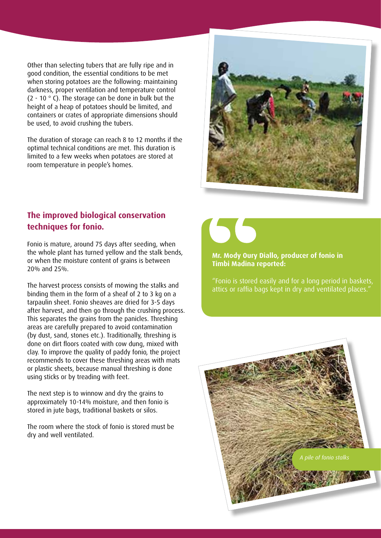Other than selecting tubers that are fully ripe and in good condition, the essential conditions to be met when storing potatoes are the following: maintaining darkness, proper ventilation and temperature control (2 - 10 $\degree$  C). The storage can be done in bulk but the height of a heap of potatoes should be limited, and containers or crates of appropriate dimensions should be used, to avoid crushing the tubers.

The duration of storage can reach 8 to 12 months if the optimal technical conditions are met. This duration is limited to a few weeks when potatoes are stored at room temperature in people's homes.



## **The improved biological conservation techniques for fonio.**

Fonio is mature, around 75 days after seeding, when the whole plant has turned yellow and the stalk bends, or when the moisture content of grains is between 20% and 25%.

The harvest process consists of mowing the stalks and binding them in the form of a sheaf of 2 to 3 kg on a tarpaulin sheet. Fonio sheaves are dried for 3-5 days after harvest, and then go through the crushing process. This separates the grains from the panicles. Threshing areas are carefully prepared to avoid contamination (by dust, sand, stones etc.). Traditionally, threshing is done on dirt floors coated with cow dung, mixed with clay. To improve the quality of paddy fonio, the project recommends to cover these threshing areas with mats or plastic sheets, because manual threshing is done using sticks or by treading with feet.

The next step is to winnow and dry the grains to approximately 10-14% moisture, and then fonio is stored in jute bags, traditional baskets or silos.

The room where the stock of fonio is stored must be dry and well ventilated.



**Mr. Mody Oury Diallo, producer of fonio in Timbi Madina reported:** 

"Fonio is stored easily and for a long period in baskets, attics or raffia bags kept in dry and ventilated places."